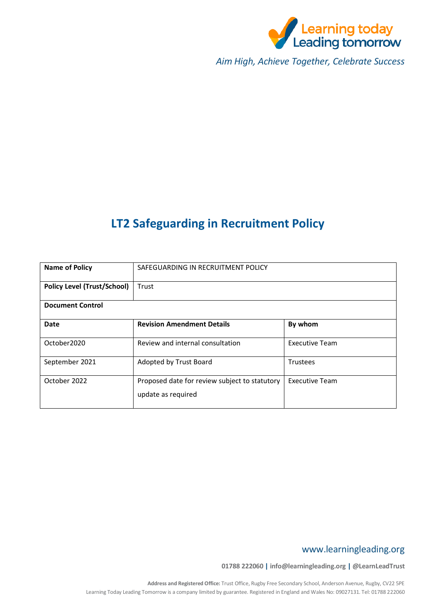

*Aim High, Achieve Together, Celebrate Success*

## **LT2 Safeguarding in Recruitment Policy**

| <b>Name of Policy</b>              | SAFEGUARDING IN RECRUITMENT POLICY                                  |                       |  |  |
|------------------------------------|---------------------------------------------------------------------|-----------------------|--|--|
| <b>Policy Level (Trust/School)</b> | Trust                                                               |                       |  |  |
| <b>Document Control</b>            |                                                                     |                       |  |  |
| Date                               | <b>Revision Amendment Details</b>                                   | By whom               |  |  |
| October2020                        | Review and internal consultation                                    | <b>Executive Team</b> |  |  |
| September 2021                     | Adopted by Trust Board                                              | Trustees              |  |  |
| October 2022                       | Proposed date for review subject to statutory<br>update as required | <b>Executive Team</b> |  |  |

### www.learningleading.org

**01788 222060 | info@learningleading.org | @LearnLeadTrust**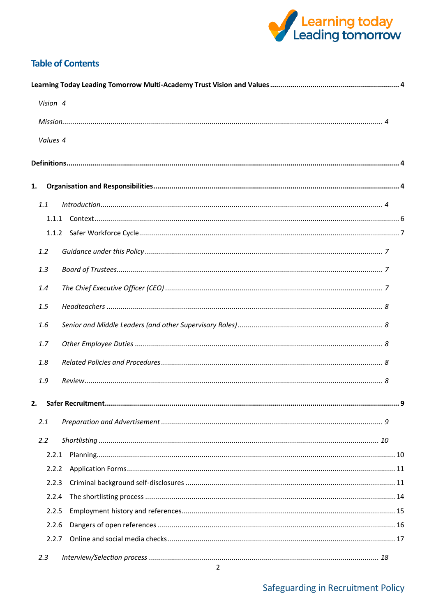

### **Table of Contents**

| Vision 4 |  |
|----------|--|
|          |  |
| Values 4 |  |
|          |  |
| 1.       |  |
| 1.1      |  |
|          |  |
|          |  |
| 1.2      |  |
| 1.3      |  |
| 1.4      |  |
| 1.5      |  |
| 1.6      |  |
| 1.7      |  |
| 1.8      |  |
| 1.9      |  |
| 2.       |  |
| 2.1      |  |
| 2.2      |  |
| 2.2.1    |  |
| 2.2.2    |  |
| 2.2.3    |  |
| 2.2.4    |  |
| 2.2.5    |  |
| 2.2.6    |  |
| 2.2.7    |  |
| 2.3      |  |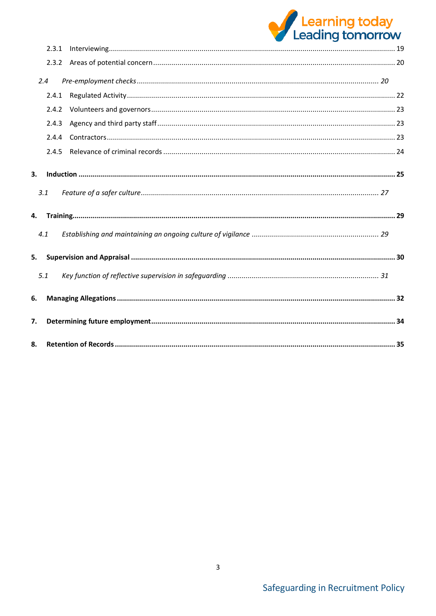# Learning today<br>Leading tomorrow

|    | 2.3.1 |  |
|----|-------|--|
|    | 2.3.2 |  |
|    | 2.4   |  |
|    | 2.4.1 |  |
|    | 2.4.2 |  |
|    | 2.4.3 |  |
|    | 2.4.4 |  |
|    | 2.4.5 |  |
| 3. |       |  |
|    | 3.1   |  |
| 4. |       |  |
|    | 4.1   |  |
| 5. |       |  |
|    | 5.1   |  |
| 6. |       |  |
| 7. |       |  |
| 8. |       |  |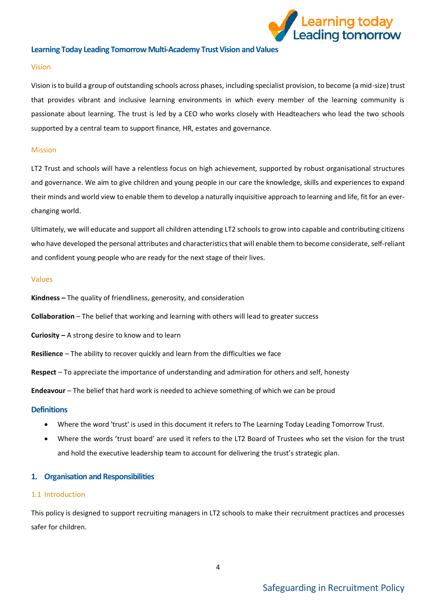

### <span id="page-3-0"></span>**Learning Today Leading Tomorrow Multi-Academy Trust Vision and Values**

### <span id="page-3-1"></span>Vision

Vision is to build a group of outstanding schools across phases, including specialist provision, to become (a mid-size) trust that provides vibrant and inclusive learning environments in which every member of the learning community is passionate about learning. The trust is led by a CEO who works closely with Headteachers who lead the two schools supported by a central team to support finance, HR, estates and governance.

### <span id="page-3-2"></span>Mission

LT2 Trust and schools will have a relentless focus on high achievement, supported by robust organisational structures and governance. We aim to give children and young people in our care the knowledge, skills and experiences to expand their minds and world view to enable them to develop a naturally inquisitive approach to learning and life, fit for an everchanging world.

Ultimately, we will educate and support all children attending LT2 schools to grow into capable and contributing citizens who have developed the personal attributes and characteristics that will enable them to become considerate, self-reliant and confident young people who are ready for the next stage of their lives.

### <span id="page-3-3"></span>Values

**Kindness –** The quality of friendliness, generosity, and consideration

**Collaboration** – The belief that working and learning with others will lead to greater success

**Curiosity –** A strong desire to know and to learn

**Resilience** – The ability to recover quickly and learn from the difficulties we face

**Respect** – To appreciate the importance of understanding and admiration for others and self, honesty

**Endeavour** – The belief that hard work is needed to achieve something of which we can be proud

### <span id="page-3-4"></span>**Definitions**

- Where the word 'trust' is used in this document it refers to The Learning Today Leading Tomorrow Trust.
- Where the words 'trust board' are used it refers to the LT2 Board of Trustees who set the vision for the trust and hold the executive leadership team to account for delivering the trust's strategic plan.

### <span id="page-3-5"></span>**1. Organisation and Responsibilities**

### <span id="page-3-6"></span>1.1 Introduction

This policy is designed to support recruiting managers in LT2 schools to make their recruitment practices and processes safer for children.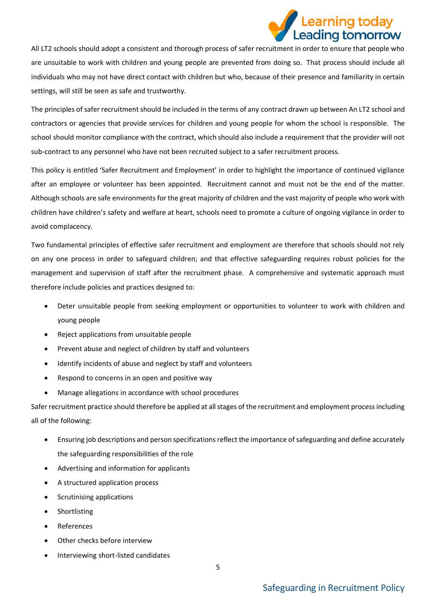

All LT2 schools should adopt a consistent and thorough process of safer recruitment in order to ensure that people who are unsuitable to work with children and young people are prevented from doing so. That process should include all individuals who may not have direct contact with children but who, because of their presence and familiarity in certain settings, will still be seen as safe and trustworthy.

The principles of safer recruitment should be included in the terms of any contract drawn up between An LT2 school and contractors or agencies that provide services for children and young people for whom the school is responsible. The school should monitor compliance with the contract, which should also include a requirement that the provider will not sub-contract to any personnel who have not been recruited subject to a safer recruitment process.

This policy is entitled 'Safer Recruitment and Employment' in order to highlight the importance of continued vigilance after an employee or volunteer has been appointed. Recruitment cannot and must not be the end of the matter. Although schools are safe environments for the great majority of children and the vast majority of people who work with children have children's safety and welfare at heart, schools need to promote a culture of ongoing vigilance in order to avoid complacency.

Two fundamental principles of effective safer recruitment and employment are therefore that schools should not rely on any one process in order to safeguard children; and that effective safeguarding requires robust policies for the management and supervision of staff after the recruitment phase. A comprehensive and systematic approach must therefore include policies and practices designed to:

- Deter unsuitable people from seeking employment or opportunities to volunteer to work with children and young people
- Reject applications from unsuitable people
- Prevent abuse and neglect of children by staff and volunteers
- Identify incidents of abuse and neglect by staff and volunteers
- Respond to concerns in an open and positive way
- Manage allegations in accordance with school procedures

Safer recruitment practice should therefore be applied at all stages of the recruitment and employment process including all of the following:

- Ensuring job descriptions and person specifications reflect the importance of safeguarding and define accurately the safeguarding responsibilities of the role
- Advertising and information for applicants
- A structured application process
- Scrutinising applications
- **Shortlisting**
- **References**
- Other checks before interview
- Interviewing short-listed candidates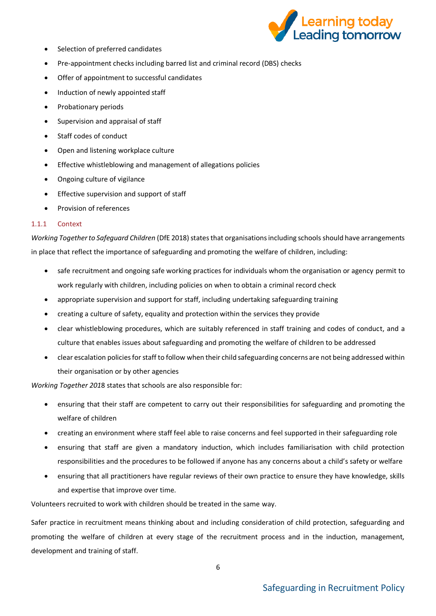

- Selection of preferred candidates
- Pre-appointment checks including barred list and criminal record (DBS) checks
- Offer of appointment to successful candidates
- Induction of newly appointed staff
- Probationary periods
- Supervision and appraisal of staff
- Staff codes of conduct
- Open and listening workplace culture
- Effective whistleblowing and management of allegations policies
- Ongoing culture of vigilance
- Effective supervision and support of staff
- Provision of references

### <span id="page-5-0"></span>1.1.1 Context

*Working Together to Safeguard Children* (DfE 2018) states that organisations including schools should have arrangements in place that reflect the importance of safeguarding and promoting the welfare of children, including:

- safe recruitment and ongoing safe working practices for individuals whom the organisation or agency permit to work regularly with children, including policies on when to obtain a criminal record check
- appropriate supervision and support for staff, including undertaking safeguarding training
- creating a culture of safety, equality and protection within the services they provide
- clear whistleblowing procedures, which are suitably referenced in staff training and codes of conduct, and a culture that enables issues about safeguarding and promoting the welfare of children to be addressed
- clear escalation policies for staff to follow when their child safeguarding concerns are not being addressed within their organisation or by other agencies

*Working Together 201*8 states that schools are also responsible for:

- ensuring that their staff are competent to carry out their responsibilities for safeguarding and promoting the welfare of children
- creating an environment where staff feel able to raise concerns and feel supported in their safeguarding role
- ensuring that staff are given a mandatory induction, which includes familiarisation with child protection responsibilities and the procedures to be followed if anyone has any concerns about a child's safety or welfare
- ensuring that all practitioners have regular reviews of their own practice to ensure they have knowledge, skills and expertise that improve over time.

Volunteers recruited to work with children should be treated in the same way.

Safer practice in recruitment means thinking about and including consideration of child protection, safeguarding and promoting the welfare of children at every stage of the recruitment process and in the induction, management, development and training of staff.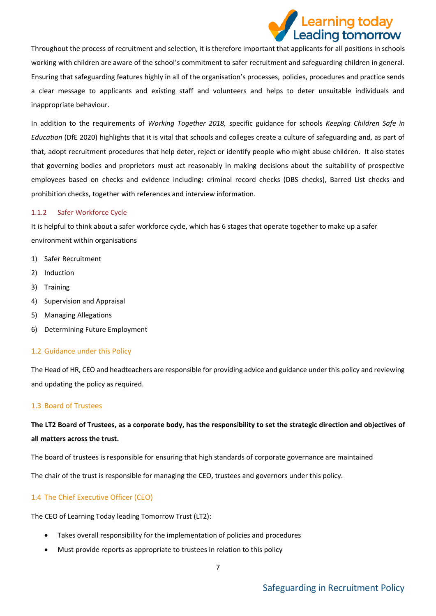

Throughout the process of recruitment and selection, it is therefore important that applicants for all positions in schools working with children are aware of the school's commitment to safer recruitment and safeguarding children in general. Ensuring that safeguarding features highly in all of the organisation's processes, policies, procedures and practice sends a clear message to applicants and existing staff and volunteers and helps to deter unsuitable individuals and inappropriate behaviour.

In addition to the requirements of *Working Together 2018,* specific guidance for schools *Keeping Children Safe in Education* (DfE 2020) highlights that it is vital that schools and colleges create a culture of safeguarding and, as part of that, adopt recruitment procedures that help deter, reject or identify people who might abuse children. It also states that governing bodies and proprietors must act reasonably in making decisions about the suitability of prospective employees based on checks and evidence including: criminal record checks (DBS checks), Barred List checks and prohibition checks, together with references and interview information.

### <span id="page-6-0"></span>1.1.2 Safer Workforce Cycle

It is helpful to think about a safer workforce cycle, which has 6 stages that operate together to make up a safer environment within organisations

- 1) Safer Recruitment
- 2) Induction
- 3) Training
- 4) Supervision and Appraisal
- 5) Managing Allegations
- 6) Determining Future Employment

### <span id="page-6-1"></span>1.2 Guidance under this Policy

The Head of HR, CEO and headteachers are responsible for providing advice and guidance under this policy and reviewing and updating the policy as required.

### <span id="page-6-2"></span>1.3 Board of Trustees

### **The LT2 Board of Trustees, as a corporate body, has the responsibility to set the strategic direction and objectives of all matters across the trust.**

The board of trustees is responsible for ensuring that high standards of corporate governance are maintained

The chair of the trust is responsible for managing the CEO, trustees and governors under this policy.

### <span id="page-6-3"></span>1.4 The Chief Executive Officer (CEO)

The CEO of Learning Today leading Tomorrow Trust (LT2):

- Takes overall responsibility for the implementation of policies and procedures
- Must provide reports as appropriate to trustees in relation to this policy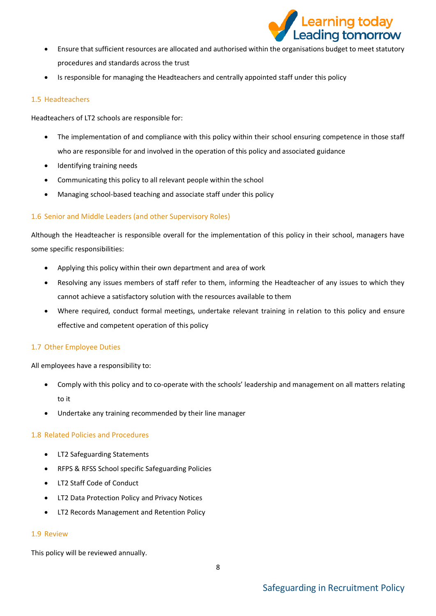

- Ensure that sufficient resources are allocated and authorised within the organisations budget to meet statutory procedures and standards across the trust
- Is responsible for managing the Headteachers and centrally appointed staff under this policy

### <span id="page-7-0"></span>1.5 Headteachers

Headteachers of LT2 schools are responsible for:

- The implementation of and compliance with this policy within their school ensuring competence in those staff who are responsible for and involved in the operation of this policy and associated guidance
- Identifying training needs
- Communicating this policy to all relevant people within the school
- Managing school-based teaching and associate staff under this policy

### <span id="page-7-1"></span>1.6 Senior and Middle Leaders (and other Supervisory Roles)

Although the Headteacher is responsible overall for the implementation of this policy in their school, managers have some specific responsibilities:

- Applying this policy within their own department and area of work
- Resolving any issues members of staff refer to them, informing the Headteacher of any issues to which they cannot achieve a satisfactory solution with the resources available to them
- Where required, conduct formal meetings, undertake relevant training in relation to this policy and ensure effective and competent operation of this policy

### <span id="page-7-2"></span>1.7 Other Employee Duties

All employees have a responsibility to:

- Comply with this policy and to co-operate with the schools' leadership and management on all matters relating to it
- Undertake any training recommended by their line manager

### <span id="page-7-3"></span>1.8 Related Policies and Procedures

- LT2 Safeguarding Statements
- RFPS & RFSS School specific Safeguarding Policies
- LT2 Staff Code of Conduct
- LT2 Data Protection Policy and Privacy Notices
- LT2 Records Management and Retention Policy

### <span id="page-7-4"></span>1.9 Review

This policy will be reviewed annually.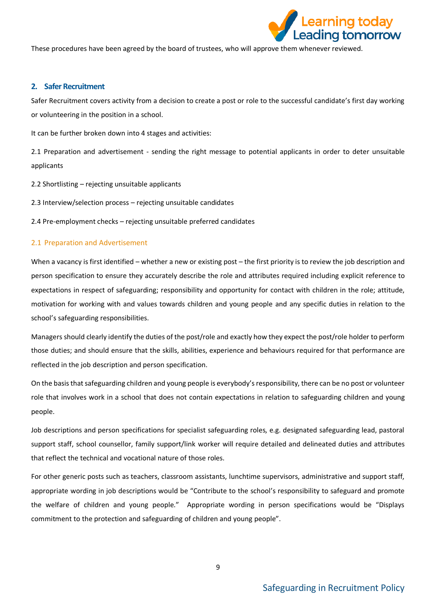

These procedures have been agreed by the board of trustees, who will approve them whenever reviewed.

### <span id="page-8-0"></span>**2. Safer Recruitment**

Safer Recruitment covers activity from a decision to create a post or role to the successful candidate's first day working or volunteering in the position in a school.

It can be further broken down into 4 stages and activities:

2.1 Preparation and advertisement - sending the right message to potential applicants in order to deter unsuitable applicants

- 2.2 Shortlisting rejecting unsuitable applicants
- 2.3 Interview/selection process rejecting unsuitable candidates

2.4 Pre-employment checks – rejecting unsuitable preferred candidates

### <span id="page-8-1"></span>2.1 Preparation and Advertisement

When a vacancy is first identified – whether a new or existing post – the first priority is to review the job description and person specification to ensure they accurately describe the role and attributes required including explicit reference to expectations in respect of safeguarding; responsibility and opportunity for contact with children in the role; attitude, motivation for working with and values towards children and young people and any specific duties in relation to the school's safeguarding responsibilities.

Managers should clearly identify the duties of the post/role and exactly how they expect the post/role holder to perform those duties; and should ensure that the skills, abilities, experience and behaviours required for that performance are reflected in the job description and person specification.

On the basis that safeguarding children and young people is everybody's responsibility, there can be no post or volunteer role that involves work in a school that does not contain expectations in relation to safeguarding children and young people.

Job descriptions and person specifications for specialist safeguarding roles, e.g. designated safeguarding lead, pastoral support staff, school counsellor, family support/link worker will require detailed and delineated duties and attributes that reflect the technical and vocational nature of those roles.

For other generic posts such as teachers, classroom assistants, lunchtime supervisors, administrative and support staff, appropriate wording in job descriptions would be "Contribute to the school's responsibility to safeguard and promote the welfare of children and young people." Appropriate wording in person specifications would be "Displays commitment to the protection and safeguarding of children and young people".

9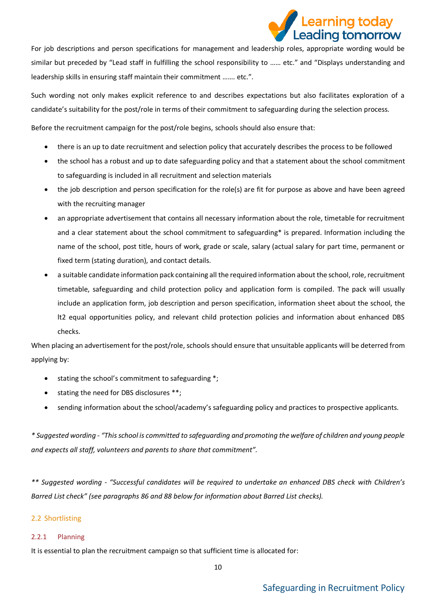## earning today. Leading tomorrow

For job descriptions and person specifications for management and leadership roles, appropriate wording would be similar but preceded by "Lead staff in fulfilling the school responsibility to …… etc." and "Displays understanding and leadership skills in ensuring staff maintain their commitment ……. etc.".

Such wording not only makes explicit reference to and describes expectations but also facilitates exploration of a candidate's suitability for the post/role in terms of their commitment to safeguarding during the selection process.

Before the recruitment campaign for the post/role begins, schools should also ensure that:

- there is an up to date recruitment and selection policy that accurately describes the process to be followed
- the school has a robust and up to date safeguarding policy and that a statement about the school commitment to safeguarding is included in all recruitment and selection materials
- the job description and person specification for the role(s) are fit for purpose as above and have been agreed with the recruiting manager
- an appropriate advertisement that contains all necessary information about the role, timetable for recruitment and a clear statement about the school commitment to safeguarding\* is prepared. Information including the name of the school, post title, hours of work, grade or scale, salary (actual salary for part time, permanent or fixed term (stating duration), and contact details.
- a suitable candidate information pack containing all the required information about the school, role, recruitment timetable, safeguarding and child protection policy and application form is compiled. The pack will usually include an application form, job description and person specification, information sheet about the school, the lt2 equal opportunities policy, and relevant child protection policies and information about enhanced DBS checks.

When placing an advertisement for the post/role, schools should ensure that unsuitable applicants will be deterred from applying by:

- stating the school's commitment to safeguarding \*;
- stating the need for DBS disclosures \*\*;
- sending information about the school/academy's safeguarding policy and practices to prospective applicants.

*\* Suggested wording - "This school is committed to safeguarding and promoting the welfare of children and young people and expects all staff, volunteers and parents to share that commitment".*

*\*\* Suggested wording - "Successful candidates will be required to undertake an enhanced DBS check with Children's Barred List check" (see paragraphs 86 and 88 below for information about Barred List checks).*

### <span id="page-9-0"></span>2.2 Shortlisting

### <span id="page-9-1"></span>2.2.1 Planning

It is essential to plan the recruitment campaign so that sufficient time is allocated for: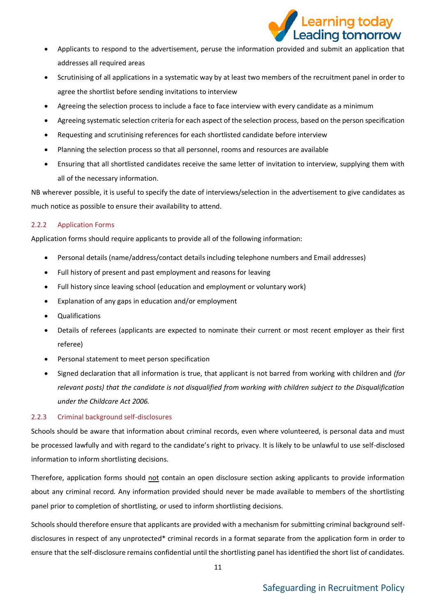

- Applicants to respond to the advertisement, peruse the information provided and submit an application that addresses all required areas
- Scrutinising of all applications in a systematic way by at least two members of the recruitment panel in order to agree the shortlist before sending invitations to interview
- Agreeing the selection process to include a face to face interview with every candidate as a minimum
- Agreeing systematic selection criteria for each aspect of the selection process, based on the person specification
- Requesting and scrutinising references for each shortlisted candidate before interview
- Planning the selection process so that all personnel, rooms and resources are available
- Ensuring that all shortlisted candidates receive the same letter of invitation to interview, supplying them with all of the necessary information.

NB wherever possible, it is useful to specify the date of interviews/selection in the advertisement to give candidates as much notice as possible to ensure their availability to attend.

### <span id="page-10-0"></span>2.2.2 Application Forms

Application forms should require applicants to provide all of the following information:

- Personal details (name/address/contact details including telephone numbers and Email addresses)
- Full history of present and past employment and reasons for leaving
- Full history since leaving school (education and employment or voluntary work)
- Explanation of any gaps in education and/or employment
- Qualifications
- Details of referees (applicants are expected to nominate their current or most recent employer as their first referee)
- Personal statement to meet person specification
- Signed declaration that all information is true, that applicant is not barred from working with children and *(for relevant posts) that the candidate is not disqualified from working with children subject to the Disqualification under the Childcare Act 2006.*

### <span id="page-10-1"></span>2.2.3 Criminal background self-disclosures

Schools should be aware that information about criminal records, even where volunteered, is personal data and must be processed lawfully and with regard to the candidate's right to privacy. It is likely to be unlawful to use self-disclosed information to inform shortlisting decisions.

Therefore, application forms should not contain an open disclosure section asking applicants to provide information about any criminal record. Any information provided should never be made available to members of the shortlisting panel prior to completion of shortlisting, or used to inform shortlisting decisions.

Schools should therefore ensure that applicants are provided with a mechanism for submitting criminal background selfdisclosures in respect of any unprotected\* criminal records in a format separate from the application form in order to ensure that the self-disclosure remains confidential until the shortlisting panel has identified the short list of candidates.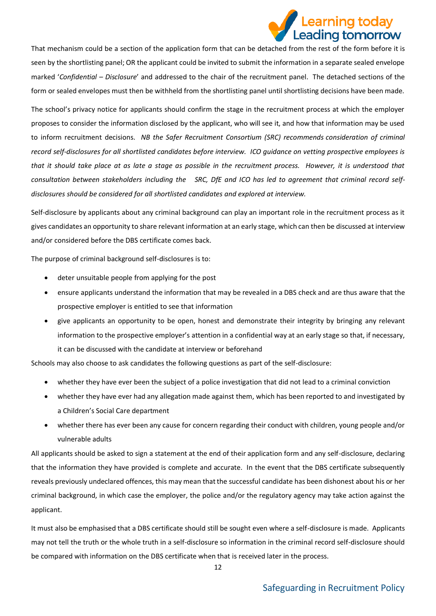

That mechanism could be a section of the application form that can be detached from the rest of the form before it is seen by the shortlisting panel; OR the applicant could be invited to submit the information in a separate sealed envelope marked '*Confidential – Disclosure*' and addressed to the chair of the recruitment panel. The detached sections of the form or sealed envelopes must then be withheld from the shortlisting panel until shortlisting decisions have been made.

The school's privacy notice for applicants should confirm the stage in the recruitment process at which the employer proposes to consider the information disclosed by the applicant, who will see it, and how that information may be used to inform recruitment decisions. *NB the Safer Recruitment Consortium (SRC) recommends consideration of criminal record self-disclosures for all shortlisted candidates before interview. ICO guidance on vetting prospective employees is that it should take place at as late a stage as possible in the recruitment process. However, it is understood that consultation between stakeholders including the SRC, DfE and ICO has led to agreement that criminal record selfdisclosures should be considered for all shortlisted candidates and explored at interview.*

Self-disclosure by applicants about any criminal background can play an important role in the recruitment process as it gives candidates an opportunity to share relevant information at an early stage, which can then be discussed at interview and/or considered before the DBS certificate comes back.

The purpose of criminal background self-disclosures is to:

- deter unsuitable people from applying for the post
- ensure applicants understand the information that may be revealed in a DBS check and are thus aware that the prospective employer is entitled to see that information
- give applicants an opportunity to be open, honest and demonstrate their integrity by bringing any relevant information to the prospective employer's attention in a confidential way at an early stage so that, if necessary, it can be discussed with the candidate at interview or beforehand

Schools may also choose to ask candidates the following questions as part of the self-disclosure:

- whether they have ever been the subject of a police investigation that did not lead to a criminal conviction
- whether they have ever had any allegation made against them, which has been reported to and investigated by a Children's Social Care department
- whether there has ever been any cause for concern regarding their conduct with children, young people and/or vulnerable adults

All applicants should be asked to sign a statement at the end of their application form and any self-disclosure, declaring that the information they have provided is complete and accurate. In the event that the DBS certificate subsequently reveals previously undeclared offences, this may mean that the successful candidate has been dishonest about his or her criminal background, in which case the employer, the police and/or the regulatory agency may take action against the applicant.

It must also be emphasised that a DBS certificate should still be sought even where a self-disclosure is made. Applicants may not tell the truth or the whole truth in a self-disclosure so information in the criminal record self-disclosure should be compared with information on the DBS certificate when that is received later in the process.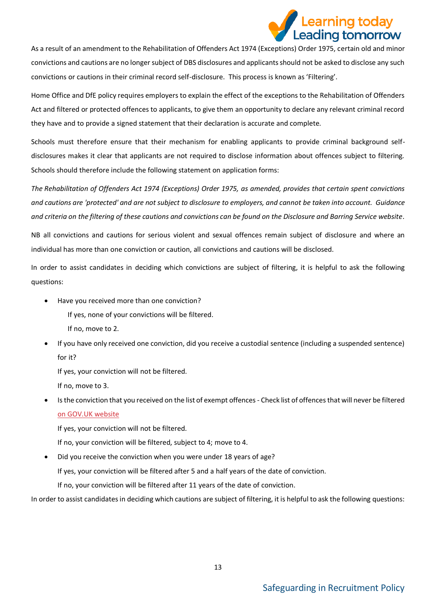# Learning today<br>Leading tomorrow

As a result of an amendment to the Rehabilitation of Offenders Act 1974 (Exceptions) Order 1975, certain old and minor convictions and cautions are no longer subject of DBS disclosures and applicants should not be asked to disclose any such convictions or cautions in their criminal record self-disclosure. This process is known as 'Filtering'.

Home Office and DfE policy requires employers to explain the effect of the exceptions to the Rehabilitation of Offenders Act and filtered or protected offences to applicants, to give them an opportunity to declare any relevant criminal record they have and to provide a signed statement that their declaration is accurate and complete.

Schools must therefore ensure that their mechanism for enabling applicants to provide criminal background selfdisclosures makes it clear that applicants are not required to disclose information about offences subject to filtering. Schools should therefore include the following statement on application forms:

*The Rehabilitation of Offenders Act 1974 (Exceptions) Order 1975, as amended, provides that certain spent convictions and cautions are 'protected' and are not subject to disclosure to employers, and cannot be taken into account. Guidance and criteria on the filtering of these cautions and convictions can be found on the Disclosure and Barring Service website.* 

NB all convictions and cautions for serious violent and sexual offences remain subject of disclosure and where an individual has more than one conviction or caution, all convictions and cautions will be disclosed.

In order to assist candidates in deciding which convictions are subject of filtering, it is helpful to ask the following questions:

• Have you received more than one conviction?

If yes, none of your convictions will be filtered.

- If no, move to 2.
- If you have only received one conviction, did you receive a custodial sentence (including a suspended sentence) for it?

If yes, your conviction will not be filtered.

If no, move to 3.

• Is the conviction that you received on the list of exempt offences - Check list of offences that will never be filtered [on GOV.UK website](https://www.gov.uk/government/publications/dbs-list-of-offences-that-will-never-be-filtered-from-a-criminal-record-check)

If yes, your conviction will not be filtered.

If no, your conviction will be filtered, subject to 4; move to 4.

• Did you receive the conviction when you were under 18 years of age?

If yes, your conviction will be filtered after 5 and a half years of the date of conviction.

If no, your conviction will be filtered after 11 years of the date of conviction.

In order to assist candidates in deciding which cautions are subject of filtering, it is helpful to ask the following questions: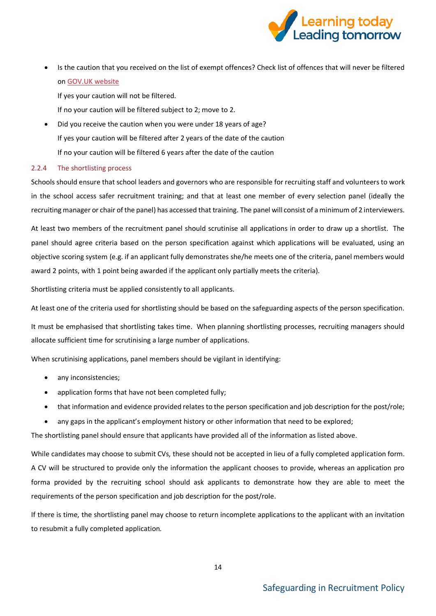

• Is the caution that you received on the list of exempt offences? Check list of offences that will never be filtered on [GOV.UK website](https://www.gov.uk/government/publications/dbs-list-of-offences-that-will-%20%20%20%20%20%20%20%20never-be-filtered-from-a-criminal-record-check)

If yes your caution will not be filtered.

If no your caution will be filtered subject to 2; move to 2.

• Did you receive the caution when you were under 18 years of age? If yes your caution will be filtered after 2 years of the date of the caution If no your caution will be filtered 6 years after the date of the caution

### <span id="page-13-0"></span>2.2.4 The shortlisting process

Schools should ensure that school leaders and governors who are responsible for recruiting staff and volunteers to work in the school access safer recruitment training; and that at least one member of every selection panel (ideally the recruiting manager or chair of the panel) has accessed that training. The panel will consist of a minimum of 2 interviewers.

At least two members of the recruitment panel should scrutinise all applications in order to draw up a shortlist. The panel should agree criteria based on the person specification against which applications will be evaluated, using an objective scoring system (e.g. if an applicant fully demonstrates she/he meets one of the criteria, panel members would award 2 points, with 1 point being awarded if the applicant only partially meets the criteria).

Shortlisting criteria must be applied consistently to all applicants.

At least one of the criteria used for shortlisting should be based on the safeguarding aspects of the person specification.

It must be emphasised that shortlisting takes time. When planning shortlisting processes, recruiting managers should allocate sufficient time for scrutinising a large number of applications.

When scrutinising applications, panel members should be vigilant in identifying:

- any inconsistencies;
- application forms that have not been completed fully;
- that information and evidence provided relates to the person specification and job description for the post/role;
- any gaps in the applicant's employment history or other information that need to be explored;

The shortlisting panel should ensure that applicants have provided all of the information as listed above.

While candidates may choose to submit CVs, these should not be accepted in lieu of a fully completed application form. A CV will be structured to provide only the information the applicant chooses to provide, whereas an application pro forma provided by the recruiting school should ask applicants to demonstrate how they are able to meet the requirements of the person specification and job description for the post/role.

If there is time, the shortlisting panel may choose to return incomplete applications to the applicant with an invitation to resubmit a fully completed application.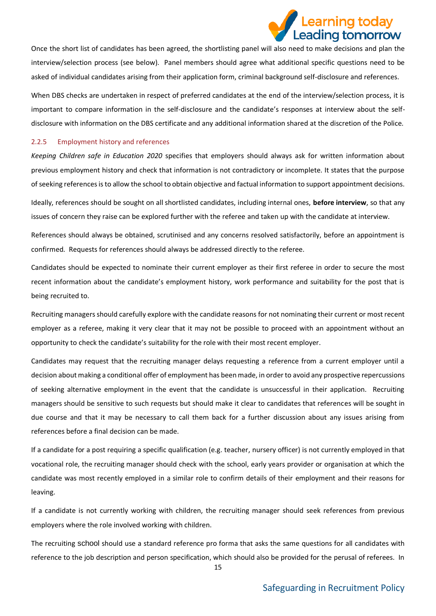

Once the short list of candidates has been agreed, the shortlisting panel will also need to make decisions and plan the interview/selection process (see below). Panel members should agree what additional specific questions need to be asked of individual candidates arising from their application form, criminal background self-disclosure and references.

When DBS checks are undertaken in respect of preferred candidates at the end of the interview/selection process, it is important to compare information in the self-disclosure and the candidate's responses at interview about the selfdisclosure with information on the DBS certificate and any additional information shared at the discretion of the Police.

### <span id="page-14-0"></span>2.2.5 Employment history and references

*Keeping Children safe in Education 2020* specifies that employers should always ask for written information about previous employment history and check that information is not contradictory or incomplete. It states that the purpose of seeking references is to allow the school to obtain objective and factual information to support appointment decisions.

Ideally, references should be sought on all shortlisted candidates, including internal ones, **before interview**, so that any issues of concern they raise can be explored further with the referee and taken up with the candidate at interview.

References should always be obtained, scrutinised and any concerns resolved satisfactorily, before an appointment is confirmed. Requests for references should always be addressed directly to the referee.

Candidates should be expected to nominate their current employer as their first referee in order to secure the most recent information about the candidate's employment history, work performance and suitability for the post that is being recruited to.

Recruiting managers should carefully explore with the candidate reasons for not nominating their current or most recent employer as a referee, making it very clear that it may not be possible to proceed with an appointment without an opportunity to check the candidate's suitability for the role with their most recent employer.

Candidates may request that the recruiting manager delays requesting a reference from a current employer until a decision about making a conditional offer of employment has been made, in order to avoid any prospective repercussions of seeking alternative employment in the event that the candidate is unsuccessful in their application. Recruiting managers should be sensitive to such requests but should make it clear to candidates that references will be sought in due course and that it may be necessary to call them back for a further discussion about any issues arising from references before a final decision can be made.

If a candidate for a post requiring a specific qualification (e.g. teacher, nursery officer) is not currently employed in that vocational role, the recruiting manager should check with the school, early years provider or organisation at which the candidate was most recently employed in a similar role to confirm details of their employment and their reasons for leaving.

If a candidate is not currently working with children, the recruiting manager should seek references from previous employers where the role involved working with children.

The recruiting school should use a standard reference pro forma that asks the same questions for all candidates with reference to the job description and person specification, which should also be provided for the perusal of referees. In

15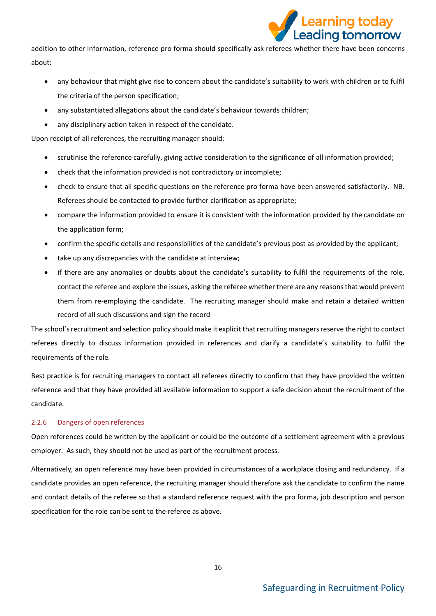![](_page_15_Picture_0.jpeg)

addition to other information, reference pro forma should specifically ask referees whether there have been concerns about:

- any behaviour that might give rise to concern about the candidate's suitability to work with children or to fulfil the criteria of the person specification;
- any substantiated allegations about the candidate's behaviour towards children;
- any disciplinary action taken in respect of the candidate.

Upon receipt of all references, the recruiting manager should:

- scrutinise the reference carefully, giving active consideration to the significance of all information provided;
- check that the information provided is not contradictory or incomplete;
- check to ensure that all specific questions on the reference pro forma have been answered satisfactorily. NB. Referees should be contacted to provide further clarification as appropriate;
- compare the information provided to ensure it is consistent with the information provided by the candidate on the application form;
- confirm the specific details and responsibilities of the candidate's previous post as provided by the applicant;
- take up any discrepancies with the candidate at interview;
- if there are any anomalies or doubts about the candidate's suitability to fulfil the requirements of the role, contact the referee and explore the issues, asking the referee whether there are any reasons that would prevent them from re-employing the candidate. The recruiting manager should make and retain a detailed written record of all such discussions and sign the record

The school's recruitment and selection policy should make it explicit that recruiting managers reserve the right to contact referees directly to discuss information provided in references and clarify a candidate's suitability to fulfil the requirements of the role.

Best practice is for recruiting managers to contact all referees directly to confirm that they have provided the written reference and that they have provided all available information to support a safe decision about the recruitment of the candidate.

### <span id="page-15-0"></span>2.2.6 Dangers of open references

Open references could be written by the applicant or could be the outcome of a settlement agreement with a previous employer. As such, they should not be used as part of the recruitment process.

Alternatively, an open reference may have been provided in circumstances of a workplace closing and redundancy. If a candidate provides an open reference, the recruiting manager should therefore ask the candidate to confirm the name and contact details of the referee so that a standard reference request with the pro forma, job description and person specification for the role can be sent to the referee as above.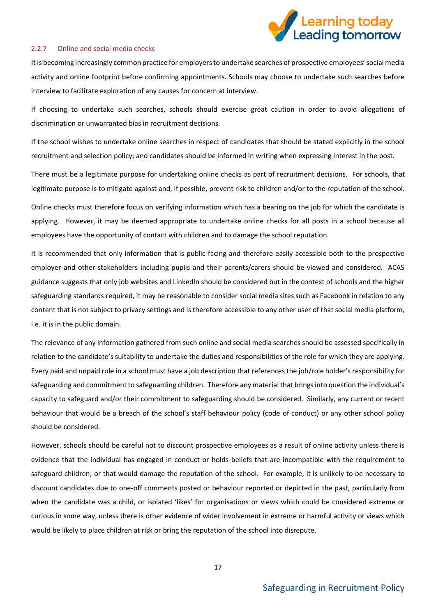![](_page_16_Picture_0.jpeg)

#### <span id="page-16-0"></span>2.2.7 Online and social media checks

It is becoming increasingly common practice for employers to undertake searches of prospective employees' social media activity and online footprint before confirming appointments. Schools may choose to undertake such searches before interview to facilitate exploration of any causes for concern at interview.

If choosing to undertake such searches, schools should exercise great caution in order to avoid allegations of discrimination or unwarranted bias in recruitment decisions.

If the school wishes to undertake online searches in respect of candidates that should be stated explicitly in the school recruitment and selection policy; and candidates should be informed in writing when expressing interest in the post.

There must be a legitimate purpose for undertaking online checks as part of recruitment decisions. For schools, that legitimate purpose is to mitigate against and, if possible, prevent risk to children and/or to the reputation of the school.

Online checks must therefore focus on verifying information which has a bearing on the job for which the candidate is applying. However, it may be deemed appropriate to undertake online checks for all posts in a school because all employees have the opportunity of contact with children and to damage the school reputation.

It is recommended that only information that is public facing and therefore easily accessible both to the prospective employer and other stakeholders including pupils and their parents/carers should be viewed and considered. ACAS guidance suggests that only job websites and LinkedIn should be considered but in the context of schools and the higher safeguarding standards required, it may be reasonable to consider social media sites such as Facebook in relation to any content that is not subject to privacy settings and is therefore accessible to any other user of that social media platform, i.e. it is in the public domain.

The relevance of any information gathered from such online and social media searches should be assessed specifically in relation to the candidate's suitability to undertake the duties and responsibilities of the role for which they are applying. Every paid and unpaid role in a school must have a job description that references the job/role holder's responsibility for safeguarding and commitment to safeguarding children. Therefore any material that brings into question the individual's capacity to safeguard and/or their commitment to safeguarding should be considered. Similarly, any current or recent behaviour that would be a breach of the school's staff behaviour policy (code of conduct) or any other school policy should be considered.

However, schools should be careful not to discount prospective employees as a result of online activity unless there is evidence that the individual has engaged in conduct or holds beliefs that are incompatible with the requirement to safeguard children; or that would damage the reputation of the school. For example, it is unlikely to be necessary to discount candidates due to one-off comments posted or behaviour reported or depicted in the past, particularly from when the candidate was a child, or isolated 'likes' for organisations or views which could be considered extreme or curious in some way, unless there is other evidence of wider involvement in extreme or harmful activity or views which would be likely to place children at risk or bring the reputation of the school into disrepute.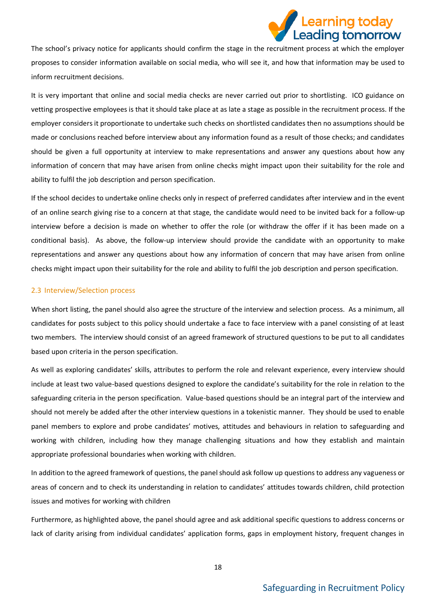![](_page_17_Picture_0.jpeg)

The school's privacy notice for applicants should confirm the stage in the recruitment process at which the employer proposes to consider information available on social media, who will see it, and how that information may be used to inform recruitment decisions.

It is very important that online and social media checks are never carried out prior to shortlisting. ICO guidance on vetting prospective employees is that it should take place at as late a stage as possible in the recruitment process. If the employer considers it proportionate to undertake such checks on shortlisted candidates then no assumptions should be made or conclusions reached before interview about any information found as a result of those checks; and candidates should be given a full opportunity at interview to make representations and answer any questions about how any information of concern that may have arisen from online checks might impact upon their suitability for the role and ability to fulfil the job description and person specification.

If the school decides to undertake online checks only in respect of preferred candidates after interview and in the event of an online search giving rise to a concern at that stage, the candidate would need to be invited back for a follow-up interview before a decision is made on whether to offer the role (or withdraw the offer if it has been made on a conditional basis). As above, the follow-up interview should provide the candidate with an opportunity to make representations and answer any questions about how any information of concern that may have arisen from online checks might impact upon their suitability for the role and ability to fulfil the job description and person specification.

### <span id="page-17-0"></span>2.3 Interview/Selection process

When short listing, the panel should also agree the structure of the interview and selection process. As a minimum, all candidates for posts subject to this policy should undertake a face to face interview with a panel consisting of at least two members. The interview should consist of an agreed framework of structured questions to be put to all candidates based upon criteria in the person specification.

As well as exploring candidates' skills, attributes to perform the role and relevant experience, every interview should include at least two value-based questions designed to explore the candidate's suitability for the role in relation to the safeguarding criteria in the person specification. Value-based questions should be an integral part of the interview and should not merely be added after the other interview questions in a tokenistic manner. They should be used to enable panel members to explore and probe candidates' motives, attitudes and behaviours in relation to safeguarding and working with children, including how they manage challenging situations and how they establish and maintain appropriate professional boundaries when working with children.

In addition to the agreed framework of questions, the panel should ask follow up questions to address any vagueness or areas of concern and to check its understanding in relation to candidates' attitudes towards children, child protection issues and motives for working with children

Furthermore, as highlighted above, the panel should agree and ask additional specific questions to address concerns or lack of clarity arising from individual candidates' application forms, gaps in employment history, frequent changes in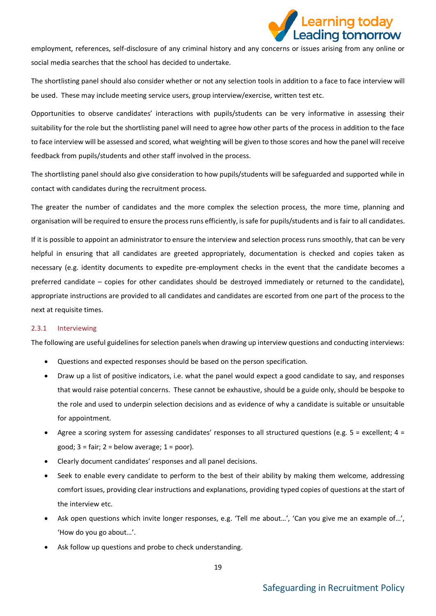![](_page_18_Picture_0.jpeg)

employment, references, self-disclosure of any criminal history and any concerns or issues arising from any online or social media searches that the school has decided to undertake.

The shortlisting panel should also consider whether or not any selection tools in addition to a face to face interview will be used. These may include meeting service users, group interview/exercise, written test etc.

Opportunities to observe candidates' interactions with pupils/students can be very informative in assessing their suitability for the role but the shortlisting panel will need to agree how other parts of the process in addition to the face to face interview will be assessed and scored, what weighting will be given to those scores and how the panel will receive feedback from pupils/students and other staff involved in the process.

The shortlisting panel should also give consideration to how pupils/students will be safeguarded and supported while in contact with candidates during the recruitment process.

The greater the number of candidates and the more complex the selection process, the more time, planning and organisation will be required to ensure the process runs efficiently, is safe for pupils/students and is fair to all candidates.

If it is possible to appoint an administrator to ensure the interview and selection process runs smoothly, that can be very helpful in ensuring that all candidates are greeted appropriately, documentation is checked and copies taken as necessary (e.g. identity documents to expedite pre-employment checks in the event that the candidate becomes a preferred candidate – copies for other candidates should be destroyed immediately or returned to the candidate), appropriate instructions are provided to all candidates and candidates are escorted from one part of the process to the next at requisite times.

### <span id="page-18-0"></span>2.3.1 Interviewing

The following are useful guidelines for selection panels when drawing up interview questions and conducting interviews:

- Questions and expected responses should be based on the person specification.
- Draw up a list of positive indicators, i.e. what the panel would expect a good candidate to say, and responses that would raise potential concerns. These cannot be exhaustive, should be a guide only, should be bespoke to the role and used to underpin selection decisions and as evidence of why a candidate is suitable or unsuitable for appointment.
- Agree a scoring system for assessing candidates' responses to all structured questions (e.g.  $5 =$  excellent;  $4 =$ good;  $3 = \text{fair}$ ;  $2 = \text{below average}$ ;  $1 = \text{poor}$ ).
- Clearly document candidates' responses and all panel decisions.
- Seek to enable every candidate to perform to the best of their ability by making them welcome, addressing comfort issues, providing clear instructions and explanations, providing typed copies of questions at the start of the interview etc.
- Ask open questions which invite longer responses, e.g. 'Tell me about…', 'Can you give me an example of…', 'How do you go about…'.
- Ask follow up questions and probe to check understanding.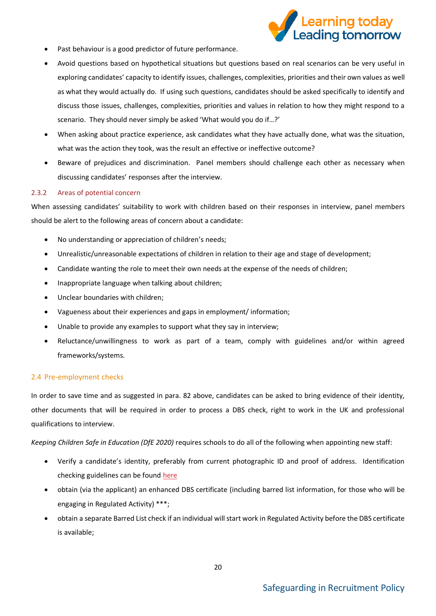![](_page_19_Picture_0.jpeg)

- Past behaviour is a good predictor of future performance.
- Avoid questions based on hypothetical situations but questions based on real scenarios can be very useful in exploring candidates' capacity to identify issues, challenges, complexities, priorities and their own values as well as what they would actually do. If using such questions, candidates should be asked specifically to identify and discuss those issues, challenges, complexities, priorities and values in relation to how they might respond to a scenario. They should never simply be asked 'What would you do if…?'
- When asking about practice experience, ask candidates what they have actually done, what was the situation, what was the action they took, was the result an effective or ineffective outcome?
- Beware of prejudices and discrimination. Panel members should challenge each other as necessary when discussing candidates' responses after the interview.

### <span id="page-19-0"></span>2.3.2 Areas of potential concern

When assessing candidates' suitability to work with children based on their responses in interview, panel members should be alert to the following areas of concern about a candidate:

- No understanding or appreciation of children's needs;
- Unrealistic/unreasonable expectations of children in relation to their age and stage of development;
- Candidate wanting the role to meet their own needs at the expense of the needs of children;
- Inappropriate language when talking about children;
- Unclear boundaries with children;
- Vagueness about their experiences and gaps in employment/ information;
- Unable to provide any examples to support what they say in interview;
- Reluctance/unwillingness to work as part of a team, comply with guidelines and/or within agreed frameworks/systems.

### <span id="page-19-1"></span>2.4 Pre-employment checks

In order to save time and as suggested in para. 82 above, candidates can be asked to bring evidence of their identity, other documents that will be required in order to process a DBS check, right to work in the UK and professional qualifications to interview.

*Keeping Children Safe in Education (DfE 2020)* requires schools to do all of the following when appointing new staff:

- Verify a candidate's identity, preferably from current photographic ID and proof of address. Identification checking guidelines can be found [here](https://www.gov.uk/government/publications/dbs-identity-checking-guidelines)
- obtain (via the applicant) an enhanced DBS certificate (including barred list information, for those who will be engaging in Regulated Activity) \*\*\*;
- obtain a separate Barred List check if an individual will start work in Regulated Activity before the DBS certificate is available;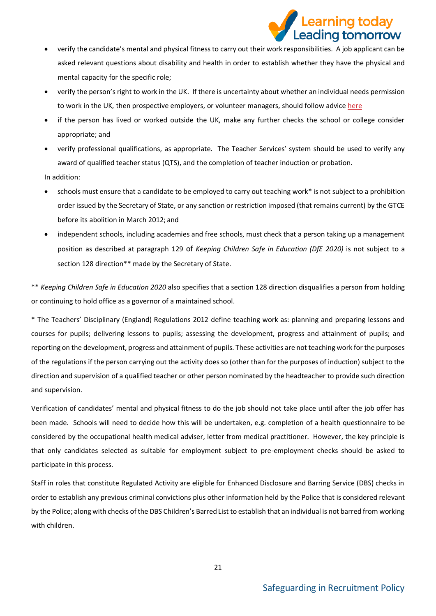![](_page_20_Picture_0.jpeg)

- verify the candidate's mental and physical fitness to carry out their work responsibilities. A job applicant can be asked relevant questions about disability and health in order to establish whether they have the physical and mental capacity for the specific role;
- verify the person's right to work in the UK. If there is uncertainty about whether an individual needs permission to work in the UK, then prospective employers, or volunteer managers, should follow advic[e here](https://www.gov.uk/check-job-applicant-right-to-work)
- if the person has lived or worked outside the UK, make any further checks the school or college consider appropriate; and
- verify professional qualifications, as appropriate. The Teacher Services' system should be used to verify any award of qualified teacher status (QTS), and the completion of teacher induction or probation.

In addition:

- schools must ensure that a candidate to be employed to carry out teaching work\* is not subject to a prohibition order issued by the Secretary of State, or any sanction or restriction imposed (that remains current) by the GTCE before its abolition in March 2012; and
- independent schools, including academies and free schools, must check that a person taking up a management position as described at paragraph 129 of *Keeping Children Safe in Education (DfE 2020)* is not subject to a section 128 direction\*\* made by the Secretary of State.

\*\* *Keeping Children Safe in Education 2020* also specifies that a section 128 direction disqualifies a person from holding or continuing to hold office as a governor of a maintained school.

\* The Teachers' Disciplinary (England) Regulations 2012 define teaching work as: planning and preparing lessons and courses for pupils; delivering lessons to pupils; assessing the development, progress and attainment of pupils; and reporting on the development, progress and attainment of pupils. These activities are not teaching work for the purposes of the regulations if the person carrying out the activity does so (other than for the purposes of induction) subject to the direction and supervision of a qualified teacher or other person nominated by the headteacher to provide such direction and supervision.

Verification of candidates' mental and physical fitness to do the job should not take place until after the job offer has been made. Schools will need to decide how this will be undertaken, e.g. completion of a health questionnaire to be considered by the occupational health medical adviser, letter from medical practitioner. However, the key principle is that only candidates selected as suitable for employment subject to pre-employment checks should be asked to participate in this process.

Staff in roles that constitute Regulated Activity are eligible for Enhanced Disclosure and Barring Service (DBS) checks in order to establish any previous criminal convictions plus other information held by the Police that is considered relevant by the Police; along with checks of the DBS Children's Barred List to establish that an individual is not barred from working with children.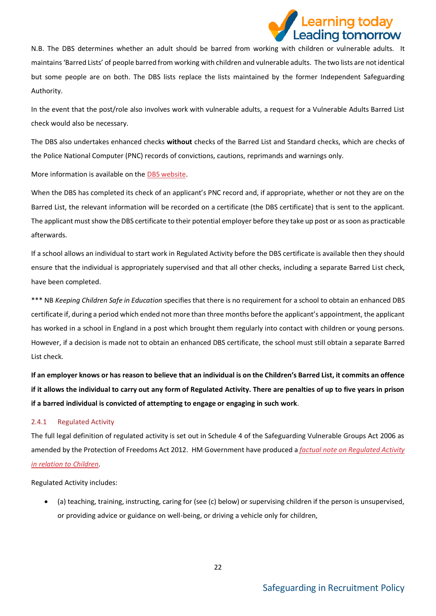![](_page_21_Picture_0.jpeg)

N.B. The DBS determines whether an adult should be barred from working with children or vulnerable adults. It maintains 'Barred Lists' of people barred from working with children and vulnerable adults. The two lists are not identical but some people are on both. The DBS lists replace the lists maintained by the former Independent Safeguarding Authority.

In the event that the post/role also involves work with vulnerable adults, a request for a Vulnerable Adults Barred List check would also be necessary.

The DBS also undertakes enhanced checks **without** checks of the Barred List and Standard checks, which are checks of the Police National Computer (PNC) records of convictions, cautions, reprimands and warnings only.

More information is available on th[e DBS website.](https://www.gov.uk/government/organisations/disclosure-and-barring-service/about)

When the DBS has completed its check of an applicant's PNC record and, if appropriate, whether or not they are on the Barred List, the relevant information will be recorded on a certificate (the DBS certificate) that is sent to the applicant. The applicant must show the DBS certificate to their potential employer before they take up post or as soon as practicable afterwards.

If a school allows an individual to start work in Regulated Activity before the DBS certificate is available then they should ensure that the individual is appropriately supervised and that all other checks, including a separate Barred List check, have been completed.

\*\*\* NB *Keeping Children Safe in Education* specifies that there is no requirement for a school to obtain an enhanced DBS certificate if, during a period which ended not more than three months before the applicant's appointment, the applicant has worked in a school in England in a post which brought them regularly into contact with children or young persons. However, if a decision is made not to obtain an enhanced DBS certificate, the school must still obtain a separate Barred List check.

**If an employer knows or has reason to believe that an individual is on the Children's Barred List, it commits an offence if it allows the individual to carry out any form of Regulated Activity. There are penalties of up to five years in prison if a barred individual is convicted of attempting to engage or engaging in such work**.

### <span id="page-21-0"></span>2.4.1 Regulated Activity

The full legal definition of regulated activity is set out in Schedule 4 of the Safeguarding Vulnerable Groups Act 2006 as amended by the Protection of Freedoms Act 2012. HM Government have produced a *factual note on [Regulated Activity](https://assets.publishing.service.gov.uk/government/uploads/system/uploads/attachment_data/file/550197/Regulated_activity_in_relation_to_children.pdf)  [in relation to Children.](https://assets.publishing.service.gov.uk/government/uploads/system/uploads/attachment_data/file/550197/Regulated_activity_in_relation_to_children.pdf)*

Regulated Activity includes:

• (a) teaching, training, instructing, caring for (see (c) below) or supervising children if the person is unsupervised, or providing advice or guidance on well-being, or driving a vehicle only for children,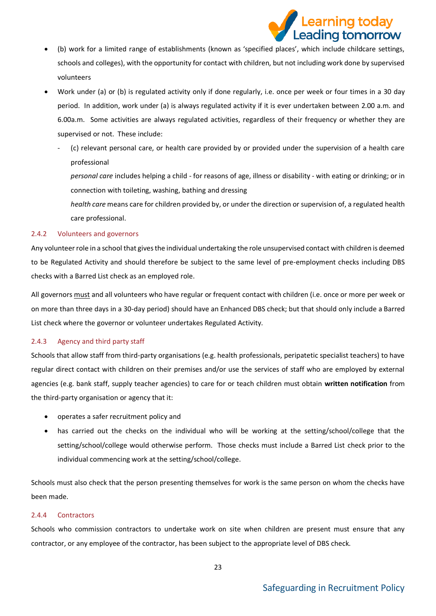![](_page_22_Picture_0.jpeg)

- (b) work for a limited range of establishments (known as 'specified places', which include childcare settings, schools and colleges), with the opportunity for contact with children, but not including work done by supervised volunteers
- Work under (a) or (b) is regulated activity only if done regularly, i.e. once per week or four times in a 30 day period. In addition, work under (a) is always regulated activity if it is ever undertaken between 2.00 a.m. and 6.00a.m. Some activities are always regulated activities, regardless of their frequency or whether they are supervised or not. These include:
	- (c) relevant personal care, or health care provided by or provided under the supervision of a health care professional

*personal care* includes helping a child - for reasons of age, illness or disability - with eating or drinking; or in connection with toileting, washing, bathing and dressing

*health care* means care for children provided by, or under the direction or supervision of, a regulated health care professional.

### <span id="page-22-0"></span>2.4.2 Volunteers and governors

Any volunteer role in a school that gives the individual undertaking the role unsupervised contact with children is deemed to be Regulated Activity and should therefore be subject to the same level of pre-employment checks including DBS checks with a Barred List check as an employed role.

All governors must and all volunteers who have regular or frequent contact with children (i.e. once or more per week or on more than three days in a 30-day period) should have an Enhanced DBS check; but that should only include a Barred List check where the governor or volunteer undertakes Regulated Activity.

### <span id="page-22-1"></span>2.4.3 Agency and third party staff

Schools that allow staff from third-party organisations (e.g. health professionals, peripatetic specialist teachers) to have regular direct contact with children on their premises and/or use the services of staff who are employed by external agencies (e.g. bank staff, supply teacher agencies) to care for or teach children must obtain **written notification** from the third-party organisation or agency that it:

- operates a safer recruitment policy and
- has carried out the checks on the individual who will be working at the setting/school/college that the setting/school/college would otherwise perform. Those checks must include a Barred List check prior to the individual commencing work at the setting/school/college.

Schools must also check that the person presenting themselves for work is the same person on whom the checks have been made.

### <span id="page-22-2"></span>2.4.4 Contractors

Schools who commission contractors to undertake work on site when children are present must ensure that any contractor, or any employee of the contractor, has been subject to the appropriate level of DBS check.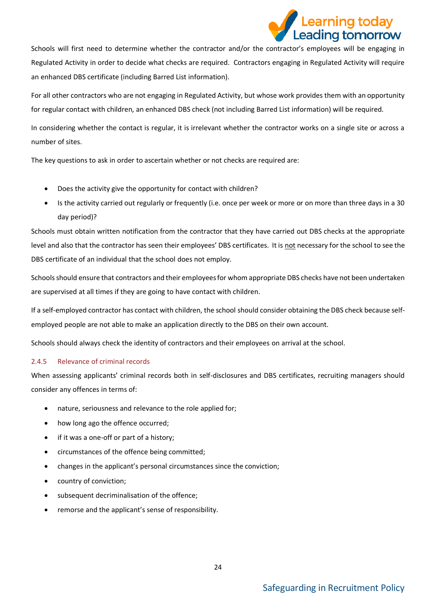![](_page_23_Picture_0.jpeg)

Schools will first need to determine whether the contractor and/or the contractor's employees will be engaging in Regulated Activity in order to decide what checks are required. Contractors engaging in Regulated Activity will require an enhanced DBS certificate (including Barred List information).

For all other contractors who are not engaging in Regulated Activity, but whose work provides them with an opportunity for regular contact with children, an enhanced DBS check (not including Barred List information) will be required.

In considering whether the contact is regular, it is irrelevant whether the contractor works on a single site or across a number of sites.

The key questions to ask in order to ascertain whether or not checks are required are:

- Does the activity give the opportunity for contact with children?
- Is the activity carried out regularly or frequently (i.e. once per week or more or on more than three days in a 30 day period)?

Schools must obtain written notification from the contractor that they have carried out DBS checks at the appropriate level and also that the contractor has seen their employees' DBS certificates. It is not necessary for the school to see the DBS certificate of an individual that the school does not employ.

Schools should ensure that contractors and their employees for whom appropriate DBS checks have not been undertaken are supervised at all times if they are going to have contact with children.

If a self-employed contractor has contact with children, the school should consider obtaining the DBS check because selfemployed people are not able to make an application directly to the DBS on their own account.

Schools should always check the identity of contractors and their employees on arrival at the school.

### <span id="page-23-0"></span>2.4.5 Relevance of criminal records

When assessing applicants' criminal records both in self-disclosures and DBS certificates, recruiting managers should consider any offences in terms of:

- nature, seriousness and relevance to the role applied for;
- how long ago the offence occurred;
- if it was a one-off or part of a history;
- circumstances of the offence being committed;
- changes in the applicant's personal circumstances since the conviction;
- country of conviction;
- subsequent decriminalisation of the offence;
- remorse and the applicant's sense of responsibility.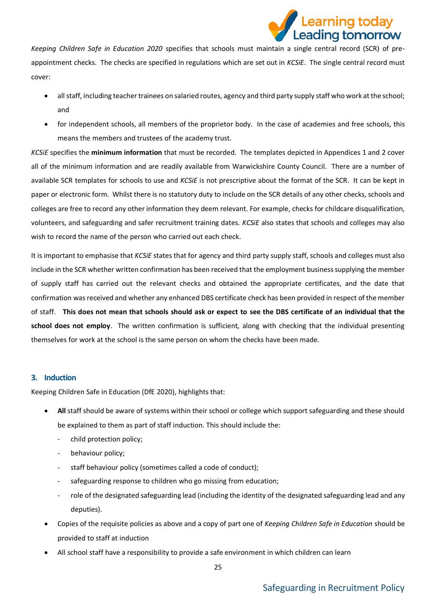![](_page_24_Picture_0.jpeg)

*Keeping Children Safe in Education 2020* specifies that schools must maintain a single central record (SCR) of preappointment checks. The checks are specified in regulations which are set out in *KCSiE*. The single central record must cover:

- all staff, including teacher trainees on salaried routes, agency and third party supply staff who work at the school; and
- for independent schools, all members of the proprietor body. In the case of academies and free schools, this means the members and trustees of the academy trust.

*KCSiE* specifies the **minimum information** that must be recorded. The templates depicted in Appendices 1 and 2 cover all of the minimum information and are readily available from Warwickshire County Council. There are a number of available SCR templates for schools to use and *KCSiE* is not prescriptive about the format of the SCR. It can be kept in paper or electronic form. Whilst there is no statutory duty to include on the SCR details of any other checks, schools and colleges are free to record any other information they deem relevant. For example, checks for childcare disqualification, volunteers, and safeguarding and safer recruitment training dates. *KCSiE* also states that schools and colleges may also wish to record the name of the person who carried out each check.

It is important to emphasise that *KCSiE* states that for agency and third party supply staff, schools and colleges must also include in the SCR whether written confirmation has been received that the employment business supplying the member of supply staff has carried out the relevant checks and obtained the appropriate certificates, and the date that confirmation was received and whether any enhanced DBS certificate check has been provided in respect of the member of staff. **This does not mean that schools should ask or expect to see the DBS certificate of an individual that the school does not employ**. The written confirmation is sufficient, along with checking that the individual presenting themselves for work at the school is the same person on whom the checks have been made.

### <span id="page-24-0"></span>**3. Induction**

Keeping Children Safe in Education (DfE 2020), highlights that:

- **All** staff should be aware of systems within their school or college which support safeguarding and these should be explained to them as part of staff induction. This should include the:
	- child protection policy;
	- behaviour policy;
	- staff behaviour policy (sometimes called a code of conduct);
	- safeguarding response to children who go missing from education;
	- role of the designated safeguarding lead (including the identity of the designated safeguarding lead and any deputies).
- Copies of the requisite policies as above and a copy of part one of *Keeping Children Safe in Education* should be provided to staff at induction
- All school staff have a responsibility to provide a safe environment in which children can learn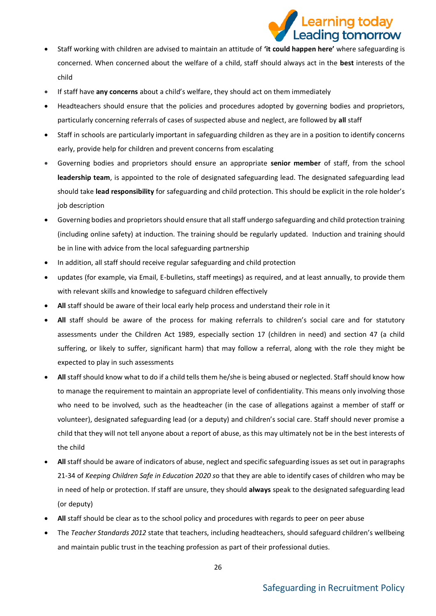# earning today. Leading tomorrow

- Staff working with children are advised to maintain an attitude of **'it could happen here'** where safeguarding is concerned. When concerned about the welfare of a child, staff should always act in the **best** interests of the child
- If staff have **any concerns** about a child's welfare, they should act on them immediately
- Headteachers should ensure that the policies and procedures adopted by governing bodies and proprietors, particularly concerning referrals of cases of suspected abuse and neglect, are followed by **all** staff
- Staff in schools are particularly important in safeguarding children as they are in a position to identify concerns early, provide help for children and prevent concerns from escalating
- Governing bodies and proprietors should ensure an appropriate **senior member** of staff, from the school **leadership team**, is appointed to the role of designated safeguarding lead. The designated safeguarding lead should take **lead responsibility** for safeguarding and child protection. This should be explicit in the role holder's job description
- Governing bodies and proprietors should ensure that all staff undergo safeguarding and child protection training (including online safety) at induction. The training should be regularly updated. Induction and training should be in line with advice from the local safeguarding partnership
- In addition, all staff should receive regular safeguarding and child protection
- updates (for example, via Email, E-bulletins, staff meetings) as required, and at least annually, to provide them with relevant skills and knowledge to safeguard children effectively
- **All** staff should be aware of their local early help process and understand their role in it
- **All** staff should be aware of the process for making referrals to children's social care and for statutory assessments under the Children Act 1989, especially section 17 (children in need) and section 47 (a child suffering, or likely to suffer, significant harm) that may follow a referral, along with the role they might be expected to play in such assessments
- **All** staff should know what to do if a child tells them he/she is being abused or neglected. Staff should know how to manage the requirement to maintain an appropriate level of confidentiality. This means only involving those who need to be involved, such as the headteacher (in the case of allegations against a member of staff or volunteer), designated safeguarding lead (or a deputy) and children's social care. Staff should never promise a child that they will not tell anyone about a report of abuse, as this may ultimately not be in the best interests of the child
- **All** staff should be aware of indicators of abuse, neglect and specific safeguarding issues as set out in paragraphs 21-34 of *Keeping Children Safe in Education 2020 s*o that they are able to identify cases of children who may be in need of help or protection. If staff are unsure, they should **always** speak to the designated safeguarding lead (or deputy)
- **All** staff should be clear as to the school policy and procedures with regards to peer on peer abuse
- The *Teacher Standards 2012* state that teachers, including headteachers, should safeguard children's wellbeing and maintain public trust in the teaching profession as part of their professional duties.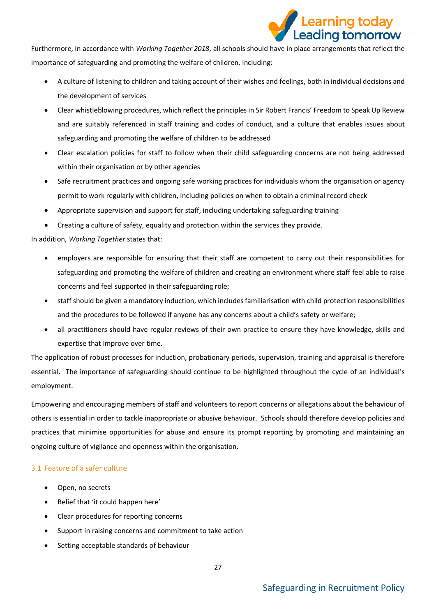![](_page_26_Picture_0.jpeg)

Furthermore, in accordance with *Working Together 2018*, all schools should have in place arrangements that reflect the importance of safeguarding and promoting the welfare of children, including:

- A culture of listening to children and taking account of their wishes and feelings, both in individual decisions and the development of services
- Clear whistleblowing procedures, which reflect the principles in Sir Robert Francis' Freedom to Speak Up Review and are suitably referenced in staff training and codes of conduct, and a culture that enables issues about safeguarding and promoting the welfare of children to be addressed
- Clear escalation policies for staff to follow when their child safeguarding concerns are not being addressed within their organisation or by other agencies
- Safe recruitment practices and ongoing safe working practices for individuals whom the organisation or agency permit to work regularly with children, including policies on when to obtain a criminal record check
- Appropriate supervision and support for staff, including undertaking safeguarding training
- Creating a culture of safety, equality and protection within the services they provide.

In addition, *Working Together* states that:

- employers are responsible for ensuring that their staff are competent to carry out their responsibilities for safeguarding and promoting the welfare of children and creating an environment where staff feel able to raise concerns and feel supported in their safeguarding role;
- staff should be given a mandatory induction, which includes familiarisation with child protection responsibilities and the procedures to be followed if anyone has any concerns about a child's safety or welfare;
- all practitioners should have regular reviews of their own practice to ensure they have knowledge, skills and expertise that improve over time.

The application of robust processes for induction, probationary periods, supervision, training and appraisal is therefore essential. The importance of safeguarding should continue to be highlighted throughout the cycle of an individual's employment.

Empowering and encouraging members of staff and volunteers to report concerns or allegations about the behaviour of others is essential in order to tackle inappropriate or abusive behaviour. Schools should therefore develop policies and practices that minimise opportunities for abuse and ensure its prompt reporting by promoting and maintaining an ongoing culture of vigilance and openness within the organisation.

### <span id="page-26-0"></span>3.1 Feature of a safer culture

- Open, no secrets
- Belief that 'it could happen here'
- Clear procedures for reporting concerns
- Support in raising concerns and commitment to take action
- Setting acceptable standards of behaviour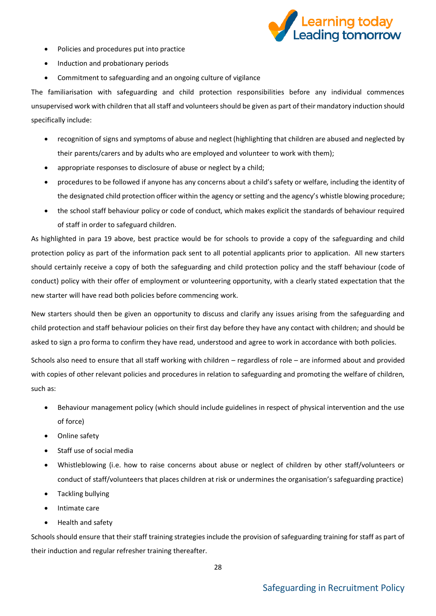![](_page_27_Picture_0.jpeg)

- Policies and procedures put into practice
- Induction and probationary periods
- Commitment to safeguarding and an ongoing culture of vigilance

The familiarisation with safeguarding and child protection responsibilities before any individual commences unsupervised work with children that all staff and volunteers should be given as part of their mandatory induction should specifically include:

- recognition of signs and symptoms of abuse and neglect (highlighting that children are abused and neglected by their parents/carers and by adults who are employed and volunteer to work with them);
- appropriate responses to disclosure of abuse or neglect by a child;
- procedures to be followed if anyone has any concerns about a child's safety or welfare, including the identity of the designated child protection officer within the agency or setting and the agency's whistle blowing procedure;
- the school staff behaviour policy or code of conduct, which makes explicit the standards of behaviour required of staff in order to safeguard children.

As highlighted in para 19 above, best practice would be for schools to provide a copy of the safeguarding and child protection policy as part of the information pack sent to all potential applicants prior to application. All new starters should certainly receive a copy of both the safeguarding and child protection policy and the staff behaviour (code of conduct) policy with their offer of employment or volunteering opportunity, with a clearly stated expectation that the new starter will have read both policies before commencing work.

New starters should then be given an opportunity to discuss and clarify any issues arising from the safeguarding and child protection and staff behaviour policies on their first day before they have any contact with children; and should be asked to sign a pro forma to confirm they have read, understood and agree to work in accordance with both policies.

Schools also need to ensure that all staff working with children – regardless of role – are informed about and provided with copies of other relevant policies and procedures in relation to safeguarding and promoting the welfare of children, such as:

- Behaviour management policy (which should include guidelines in respect of physical intervention and the use of force)
- Online safety
- Staff use of social media
- Whistleblowing (i.e. how to raise concerns about abuse or neglect of children by other staff/volunteers or conduct of staff/volunteers that places children at risk or undermines the organisation's safeguarding practice)
- Tackling bullying
- Intimate care
- Health and safety

Schools should ensure that their staff training strategies include the provision of safeguarding training for staff as part of their induction and regular refresher training thereafter.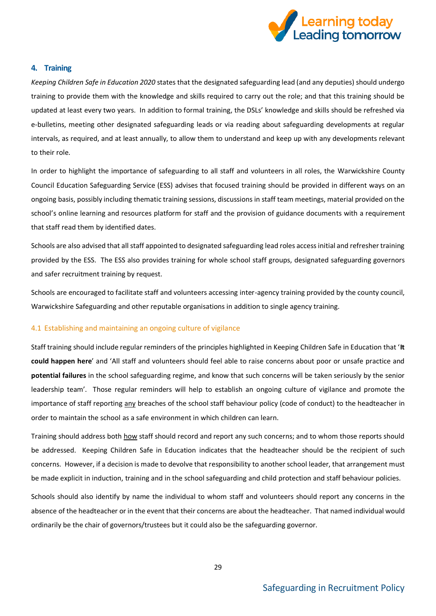![](_page_28_Picture_0.jpeg)

### <span id="page-28-0"></span>**4. Training**

*Keeping Children Safe in Education 2020* states that the designated safeguarding lead (and any deputies) should undergo training to provide them with the knowledge and skills required to carry out the role; and that this training should be updated at least every two years. In addition to formal training, the DSLs' knowledge and skills should be refreshed via e-bulletins, meeting other designated safeguarding leads or via reading about safeguarding developments at regular intervals, as required, and at least annually, to allow them to understand and keep up with any developments relevant to their role.

In order to highlight the importance of safeguarding to all staff and volunteers in all roles, the Warwickshire County Council Education Safeguarding Service (ESS) advises that focused training should be provided in different ways on an ongoing basis, possibly including thematic training sessions, discussions in staff team meetings, material provided on the school's online learning and resources platform for staff and the provision of guidance documents with a requirement that staff read them by identified dates.

Schools are also advised that all staff appointed to designated safeguarding lead roles access initial and refresher training provided by the ESS. The ESS also provides training for whole school staff groups, designated safeguarding governors and safer recruitment training by request.

Schools are encouraged to facilitate staff and volunteers accessing inter-agency training provided by the county council, Warwickshire Safeguarding and other reputable organisations in addition to single agency training.

### <span id="page-28-1"></span>4.1 Establishing and maintaining an ongoing culture of vigilance

Staff training should include regular reminders of the principles highlighted in Keeping Children Safe in Education that '**It could happen here**' and 'All staff and volunteers should feel able to raise concerns about poor or unsafe practice and **potential failures** in the school safeguarding regime, and know that such concerns will be taken seriously by the senior leadership team'. Those regular reminders will help to establish an ongoing culture of vigilance and promote the importance of staff reporting any breaches of the school staff behaviour policy (code of conduct) to the headteacher in order to maintain the school as a safe environment in which children can learn.

Training should address both how staff should record and report any such concerns; and to whom those reports should be addressed. Keeping Children Safe in Education indicates that the headteacher should be the recipient of such concerns. However, if a decision is made to devolve that responsibility to another school leader, that arrangement must be made explicit in induction, training and in the school safeguarding and child protection and staff behaviour policies.

Schools should also identify by name the individual to whom staff and volunteers should report any concerns in the absence of the headteacher or in the event that their concerns are about the headteacher. That named individual would ordinarily be the chair of governors/trustees but it could also be the safeguarding governor.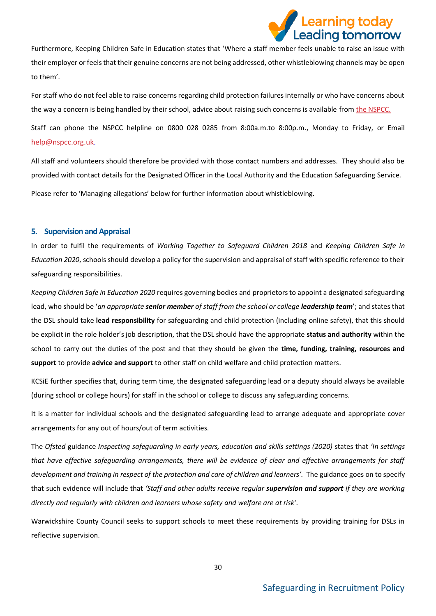![](_page_29_Picture_0.jpeg)

Furthermore, Keeping Children Safe in Education states that 'Where a staff member feels unable to raise an issue with their employer or feels that their genuine concerns are not being addressed, other whistleblowing channels may be open to them'.

For staff who do not feel able to raise concerns regarding child protection failures internally or who have concerns about the way a concern is being handled by their school, advice about raising such concerns is available fro[m the NSPCC.](https://www.nspcc.org.uk/what-you-can-do/report-abuse/dedicated-helplines/%20whistleblowing-advice-line/)

Staff can phone the NSPCC helpline on 0800 028 0285 from 8:00a.m.to 8:00p.m., Monday to Friday, or Email [help@nspcc.org.uk](mailto:help@nspcc.org.uk).

All staff and volunteers should therefore be provided with those contact numbers and addresses. They should also be provided with contact details for the Designated Officer in the Local Authority and the Education Safeguarding Service. Please refer to 'Managing allegations' below for further information about whistleblowing.

### <span id="page-29-0"></span>**5. Supervision and Appraisal**

In order to fulfil the requirements of *Working Together to Safeguard Children 2018* and *Keeping Children Safe in Education 2020*, schools should develop a policy for the supervision and appraisal of staff with specific reference to their safeguarding responsibilities.

*Keeping Children Safe in Education 2020* requires governing bodies and proprietors to appoint a designated safeguarding lead, who should be '*an appropriate senior member of staff from the school or college leadership team*'; and states that the DSL should take **lead responsibility** for safeguarding and child protection (including online safety), that this should be explicit in the role holder's job description, that the DSL should have the appropriate **status and authority** within the school to carry out the duties of the post and that they should be given the **time, funding, training, resources and support** to provide **advice and support** to other staff on child welfare and child protection matters.

KCSiE further specifies that, during term time, the designated safeguarding lead or a deputy should always be available (during school or college hours) for staff in the school or college to discuss any safeguarding concerns.

It is a matter for individual schools and the designated safeguarding lead to arrange adequate and appropriate cover arrangements for any out of hours/out of term activities.

The *Ofsted* guidance *Inspecting safeguarding in early years, education and skills settings (2020)* states that *'In settings that have effective safeguarding arrangements, there will be evidence of clear and effective arrangements for staff development and training in respect of the protection and care of children and learners'.* The guidance goes on to specify that such evidence will include that *'Staff and other adults receive regular supervision and support if they are working directly and regularly with children and learners whose safety and welfare are at risk'.* 

Warwickshire County Council seeks to support schools to meet these requirements by providing training for DSLs in reflective supervision.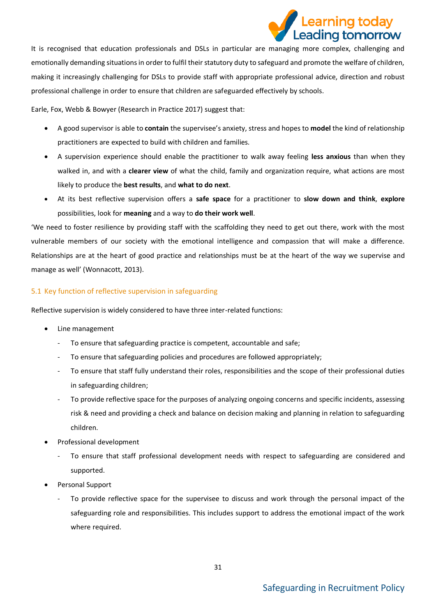## earning today. Leading tomorrow

It is recognised that education professionals and DSLs in particular are managing more complex, challenging and emotionally demanding situations in order to fulfil their statutory duty to safeguard and promote the welfare of children, making it increasingly challenging for DSLs to provide staff with appropriate professional advice, direction and robust professional challenge in order to ensure that children are safeguarded effectively by schools.

Earle, Fox, Webb & Bowyer (Research in Practice 2017) suggest that:

- A good supervisor is able to **contain** the supervisee's anxiety, stress and hopes to **model** the kind of relationship practitioners are expected to build with children and families.
- A supervision experience should enable the practitioner to walk away feeling **less anxious** than when they walked in, and with a **clearer view** of what the child, family and organization require, what actions are most likely to produce the **best results**, and **what to do next**.
- At its best reflective supervision offers a **safe space** for a practitioner to **slow down and think**, **explore**  possibilities, look for **meaning** and a way to **do their work well**.

'We need to foster resilience by providing staff with the scaffolding they need to get out there, work with the most vulnerable members of our society with the emotional intelligence and compassion that will make a difference. Relationships are at the heart of good practice and relationships must be at the heart of the way we supervise and manage as well' (Wonnacott, 2013).

### <span id="page-30-0"></span>5.1 Key function of reflective supervision in safeguarding

Reflective supervision is widely considered to have three inter-related functions:

- Line management
	- To ensure that safeguarding practice is competent, accountable and safe;
	- To ensure that safeguarding policies and procedures are followed appropriately;
	- To ensure that staff fully understand their roles, responsibilities and the scope of their professional duties in safeguarding children;
	- To provide reflective space for the purposes of analyzing ongoing concerns and specific incidents, assessing risk & need and providing a check and balance on decision making and planning in relation to safeguarding children.
- Professional development
	- To ensure that staff professional development needs with respect to safeguarding are considered and supported.
- Personal Support
	- To provide reflective space for the supervisee to discuss and work through the personal impact of the safeguarding role and responsibilities. This includes support to address the emotional impact of the work where required.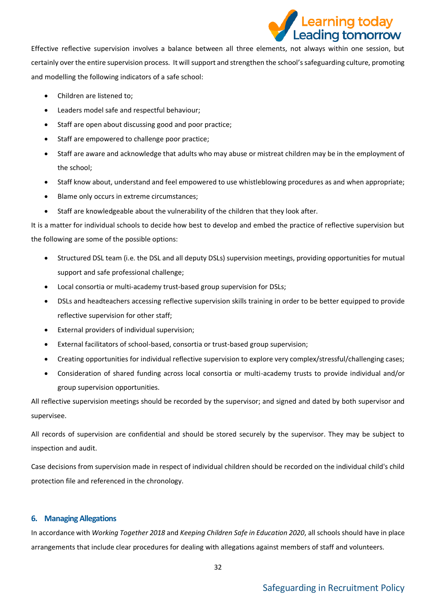![](_page_31_Picture_0.jpeg)

Effective reflective supervision involves a balance between all three elements, not always within one session, but certainly over the entire supervision process. It will support and strengthen the school's safeguarding culture, promoting and modelling the following indicators of a safe school:

- Children are listened to;
- Leaders model safe and respectful behaviour;
- Staff are open about discussing good and poor practice;
- Staff are empowered to challenge poor practice;
- Staff are aware and acknowledge that adults who may abuse or mistreat children may be in the employment of the school;
- Staff know about, understand and feel empowered to use whistleblowing procedures as and when appropriate;
- Blame only occurs in extreme circumstances;
- Staff are knowledgeable about the vulnerability of the children that they look after.

It is a matter for individual schools to decide how best to develop and embed the practice of reflective supervision but the following are some of the possible options:

- Structured DSL team (i.e. the DSL and all deputy DSLs) supervision meetings, providing opportunities for mutual support and safe professional challenge;
- Local consortia or multi-academy trust-based group supervision for DSLs;
- DSLs and headteachers accessing reflective supervision skills training in order to be better equipped to provide reflective supervision for other staff;
- External providers of individual supervision;
- External facilitators of school-based, consortia or trust-based group supervision;
- Creating opportunities for individual reflective supervision to explore very complex/stressful/challenging cases;
- Consideration of shared funding across local consortia or multi-academy trusts to provide individual and/or group supervision opportunities.

All reflective supervision meetings should be recorded by the supervisor; and signed and dated by both supervisor and supervisee.

All records of supervision are confidential and should be stored securely by the supervisor. They may be subject to inspection and audit.

Case decisions from supervision made in respect of individual children should be recorded on the individual child's child protection file and referenced in the chronology.

### <span id="page-31-0"></span>**6. Managing Allegations**

In accordance with *Working Together 2018* and *Keeping Children Safe in Education 2020*, all schools should have in place arrangements that include clear procedures for dealing with allegations against members of staff and volunteers.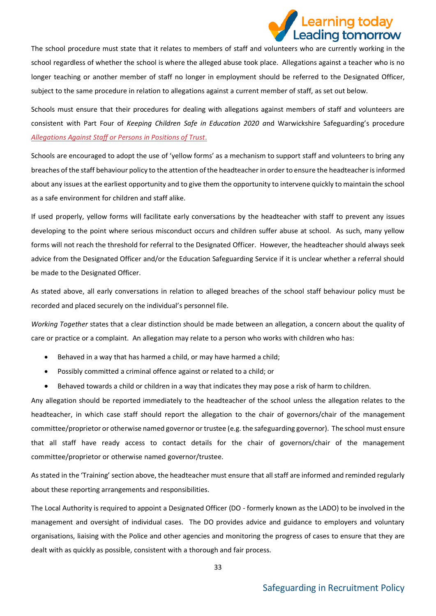![](_page_32_Picture_0.jpeg)

The school procedure must state that it relates to members of staff and volunteers who are currently working in the school regardless of whether the school is where the alleged abuse took place. Allegations against a teacher who is no longer teaching or another member of staff no longer in employment should be referred to the Designated Officer, subject to the same procedure in relation to allegations against a current member of staff, as set out below.

Schools must ensure that their procedures for dealing with allegations against members of staff and volunteers are consistent with Part Four of *Keeping Children Safe in Education 2020 a*nd Warwickshire Safeguarding's procedure *[Allegations Against Staff or Persons in Positions of Trust](https://www.safeguardingwarwickshire.co.uk/safeguarding-children/i-work-with-children-and-young-people/interagency-safeguarding-procedures)*.

Schools are encouraged to adopt the use of 'yellow forms' as a mechanism to support staff and volunteers to bring any breaches of the staff behaviour policy to the attention of the headteacher in order to ensure the headteacher is informed about any issues at the earliest opportunity and to give them the opportunity to intervene quickly to maintain the school as a safe environment for children and staff alike.

If used properly, yellow forms will facilitate early conversations by the headteacher with staff to prevent any issues developing to the point where serious misconduct occurs and children suffer abuse at school. As such, many yellow forms will not reach the threshold for referral to the Designated Officer. However, the headteacher should always seek advice from the Designated Officer and/or the Education Safeguarding Service if it is unclear whether a referral should be made to the Designated Officer.

As stated above, all early conversations in relation to alleged breaches of the school staff behaviour policy must be recorded and placed securely on the individual's personnel file.

*Working Together* states that a clear distinction should be made between an allegation, a concern about the quality of care or practice or a complaint. An allegation may relate to a person who works with children who has:

- Behaved in a way that has harmed a child, or may have harmed a child;
- Possibly committed a criminal offence against or related to a child; or
- Behaved towards a child or children in a way that indicates they may pose a risk of harm to children.

Any allegation should be reported immediately to the headteacher of the school unless the allegation relates to the headteacher, in which case staff should report the allegation to the chair of governors/chair of the management committee/proprietor or otherwise named governor or trustee (e.g. the safeguarding governor). The school must ensure that all staff have ready access to contact details for the chair of governors/chair of the management committee/proprietor or otherwise named governor/trustee.

As stated in the 'Training' section above, the headteacher must ensure that all staff are informed and reminded regularly about these reporting arrangements and responsibilities.

The Local Authority is required to appoint a Designated Officer (DO - formerly known as the LADO) to be involved in the management and oversight of individual cases. The DO provides advice and guidance to employers and voluntary organisations, liaising with the Police and other agencies and monitoring the progress of cases to ensure that they are dealt with as quickly as possible, consistent with a thorough and fair process.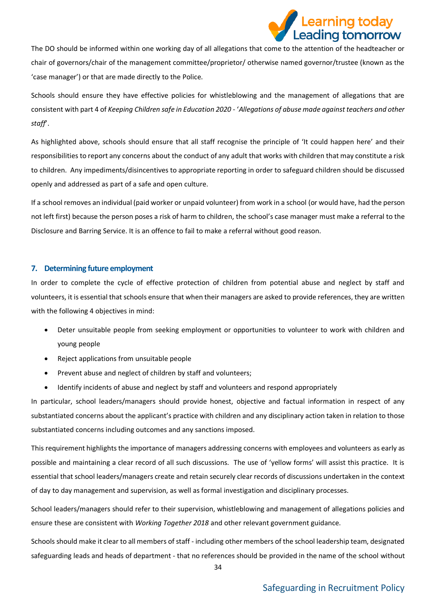![](_page_33_Picture_0.jpeg)

The DO should be informed within one working day of all allegations that come to the attention of the headteacher or chair of governors/chair of the management committee/proprietor/ otherwise named governor/trustee (known as the 'case manager') or that are made directly to the Police.

Schools should ensure they have effective policies for whistleblowing and the management of allegations that are consistent with part 4 of *Keeping Children safe in Education 2020 -* '*Allegations of abuse made against teachers and other staff*'.

As highlighted above, schools should ensure that all staff recognise the principle of 'It could happen here' and their responsibilities to report any concerns about the conduct of any adult that works with children that may constitute a risk to children. Any impediments/disincentives to appropriate reporting in order to safeguard children should be discussed openly and addressed as part of a safe and open culture.

If a school removes an individual (paid worker or unpaid volunteer) from work in a school (or would have, had the person not left first) because the person poses a risk of harm to children, the school's case manager must make a referral to the Disclosure and Barring Service. It is an offence to fail to make a referral without good reason.

### <span id="page-33-0"></span>**7. Determining future employment**

In order to complete the cycle of effective protection of children from potential abuse and neglect by staff and volunteers, it is essential that schools ensure that when their managers are asked to provide references, they are written with the following 4 objectives in mind:

- Deter unsuitable people from seeking employment or opportunities to volunteer to work with children and young people
- Reject applications from unsuitable people
- Prevent abuse and neglect of children by staff and volunteers;
- Identify incidents of abuse and neglect by staff and volunteers and respond appropriately

In particular, school leaders/managers should provide honest, objective and factual information in respect of any substantiated concerns about the applicant's practice with children and any disciplinary action taken in relation to those substantiated concerns including outcomes and any sanctions imposed.

This requirement highlights the importance of managers addressing concerns with employees and volunteers as early as possible and maintaining a clear record of all such discussions. The use of 'yellow forms' will assist this practice. It is essential that school leaders/managers create and retain securely clear records of discussions undertaken in the context of day to day management and supervision, as well as formal investigation and disciplinary processes.

School leaders/managers should refer to their supervision, whistleblowing and management of allegations policies and ensure these are consistent with *Working Together 2018* and other relevant government guidance.

Schools should make it clear to all members of staff - including other members of the school leadership team, designated safeguarding leads and heads of department - that no references should be provided in the name of the school without